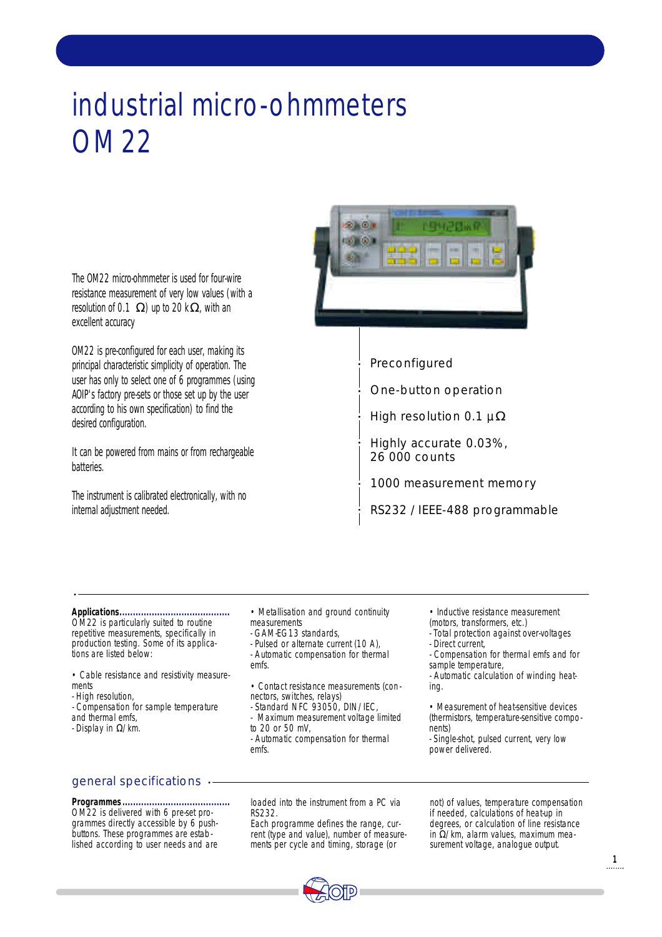# industrial micro-ohmmeters OM 22



OM22 is pre-configured for each user, making its principal characteristic simplicity of operation. The user has only to select one of 6 programmes (using AOIP's factory pre-sets or those set up by the user according to his own specification) to find the desired configuration.

It can be powered from mains or from rechargeable batteries.

The instrument is calibrated electronically, with no internal adjustment needed.



Preconfigured

One-button operation

High resolution 0.1  $\mu$ 

Highly accurate 0.03%, 26 000 counts

1000 measurement memory

RS232 / IEEE-488 programmable

### **Applications.........................................**

OM22 is particularly suited to routine repetitive measurements, specifically in production testing. Some of its applications are listed below:

• Cable resistance and resistivity measurements

- High resolution,

- Compensation for sample temperature and thermal emfs,

- Display in /km.

### • Metallisation and ground continuity

- measurements
- GAM-EG13 standards,
- Pulsed or alternate current (10 A), - Automatic compensation for thermal emfs.
- Contact resistance measurements (con nectors, switches, relays)
- Standard NFC 93050, DIN/IEC,
- Maximum measurement voltage limited to 20 or 50 mV,
- Automatic compensation for thermal emfs.
- Inductive resistance measurement
- (motors, transformers, etc.)
- Total protection against over-voltages - Direct current,

- Compensation for thermal emfs and for sample temperature,

- Automatic calculation of winding heating.

• Measurement of heat-sensitive devices (thermistors, temperature-sensitive components)

- Single-shot, pulsed current, very low power delivered.

### general specifications

### **Programmes........................................**

OM22 is delivered with 6 pre-set programmes directly accessible by 6 pushbuttons. These programmes are established according to user needs and are loaded into the instrument from a PC via RS232.

Each programme defines the range, current (type and value), number of measurements per cycle and timing, storage (or

not) of values, temperature compensation if needed, calculations of heat-up in degrees, or calculation of line resistance  $in$  /km, alarm values, maximum measurement voltage, analogue output.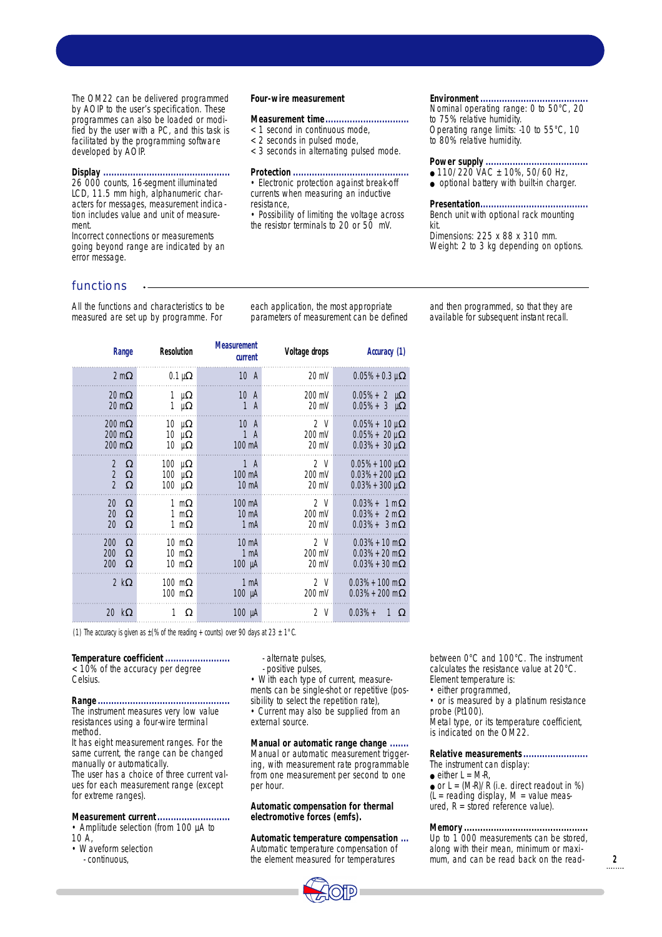The OM22 can be delivered programmed by AOIP to the user's specification. These programmes can also be loaded or modified by the user with a PC, and this task is facilitated by the programming software developed by AOIP.

### **Display ...............................................**

26 000 counts, 16-segment illuminated LCD, 11.5 mm high, alphanumeric characters for messages, measurement indication includes value and unit of measurement.

Incorrect connections or measurements going beyond range are indicated by an error message.

## functions

All the functions and characteristics to be measured are set up by programme. For

each application, the most appropriate parameters of measurement can be defined

**Four-wire measurement**

**Protection ...........................................**

resistance,

**Measurement time...............................** < 1 second in continuous mode, < 2 seconds in pulsed mode,

< 3 seconds in alternating pulsed mode.

• Electronic protection against break-off currents when measuring an inductive

• Possibility of limiting the voltage across the resistor terminals to 20 or 50 mV.

| Range                                                  | Resolution                                           | <b>Measurement</b><br>current                      | Voltage drops                               | Accuracy (1)                                                |
|--------------------------------------------------------|------------------------------------------------------|----------------------------------------------------|---------------------------------------------|-------------------------------------------------------------|
| 2 <sub>m</sub>                                         | $0.1 \mu$                                            | 10 <sub>A</sub>                                    | 20 mV                                       | $0.05% + 0.3 \mu$                                           |
| 20 <sub>m</sub><br>20 <sub>m</sub>                     | 1<br>$\mu$<br>1<br>$\mu$                             | 10A<br>$\mathbf{1}$<br>$\mathsf{A}$                | 200 mV<br>20 mV                             | $0.05\% + 2 \mu$<br>$0.05% + 3 \mu$                         |
| $200 \text{ m}$<br>$200 \text{ m}$<br>200 <sub>m</sub> | $10 \mu$<br>10<br>$\mu$<br>10 μ                      | 10A<br>$\mathbf{1}$<br>$\mathsf{A}$<br>100 mA      | 2 <sup>0</sup><br>200 mV<br>20 mV           | $0.05% + 10 \,\mu$<br>$0.05% + 20 \mu$<br>$0.03% + 30 \mu$  |
| 2<br>$\overline{2}$<br>$\overline{2}$                  | 100<br>$\mu$<br>100<br>$\mathsf{u}$<br>$100 \mu$     | $1 \text{ A}$<br>100 mA<br>$10 \text{ mA}$         | 2 <sup>V</sup><br>200 mV<br>$20 \text{ mV}$ | $0.05% + 100 \mu$<br>$0.03% + 200 \mu$<br>$0.03% + 300 \mu$ |
| 20<br>20<br>20                                         | 1 <sub>m</sub><br>1 <sub>m</sub><br>1 <sub>m</sub>   | 100 mA<br>10 <sub>m</sub><br>1 <sub>mA</sub>       | 2 <sup>0</sup><br>200 mV<br>$20 \text{ mV}$ | $0.03% + 1m$<br>$0.03% + 2m$<br>$0.03% + 3m$                |
| 200<br>200<br>200                                      | $10 \text{ m}$<br>10 <sub>m</sub><br>10 <sub>m</sub> | $10 \text{ mA}$<br>1 <sub>m</sub> A<br>$100 \mu A$ | 2 <sup>0</sup><br>200 mV<br>$20 \text{ mV}$ | $0.03% + 10 \text{ m}$<br>$0.03% + 20$ m<br>$0.03% + 30$ m  |
| 2k                                                     | $100$ m<br>$100$ m                                   | 1 <sub>mA</sub><br>$100 \mu A$                     | 2V<br>200 mV                                | $0.03% + 100$ m<br>$0.03% + 200$ m                          |
| 20 k                                                   | 1                                                    | $100 \mu A$                                        | 2 V                                         | $0.03% +$<br>$\mathbf{1}$                                   |
|                                                        |                                                      |                                                    |                                             |                                                             |

(1) The accuracy is given as  $\pm$  (% of the reading + counts) over 90 days at 23  $\pm$  1°C.

**Temperature coefficient ........................** < 10% of the accuracy per degree Celsius.

**Range .................................................** The instrument measures very low value resistances using a four-wire terminal method.

It has eight measurement ranges. For the same current, the range can be changed manually or automatically.

The user has a choice of three current values for each measurement range (except for extreme ranges).

### **Measurement current...........................**

• Amplitude selection (from 100 µA to  $10 \text{ A}$ 

- Waveform selection
	- continuous,

- alternate pulses,

- positive pulses,

• With each type of current, measurements can be single-shot or repetitive (possibility to select the repetition rate), • Current may also be supplied from an external source.

**Manual or automatic range change .......** Manual or automatic measurement triggering, with measurement rate programmable from one measurement per second to one per hour.

**Automatic compensation for thermal electromotive forces (emfs).**

**Automatic temperature compensation ...** Automatic temperature compensation of the element measured for temperatures



between 0°C and 100°C. The instrument calculates the resistance value at 20°C. Element temperature is:

• either programmed.

• or is measured by a platinum resistance probe (Pt100).

Metal type, or its temperature coefficient, is indicated on the OM22.

**Relative measurements........................**

The instrument can display:  $\bullet$  either  $L = M-R$ .

 $\bullet$  or L = (M-R)/R (i.e. direct readout in %)  $(L = reading display, M = value meas$ ured,  $R =$  stored reference value).

**Memory..............................................** Up to 1 000 measurements can be stored, along with their mean, minimum or maximum, and can be read back on the read-

Bench unit with optional rack mounting kit. Dimensions: 225 x 88 x 310 mm.

Nominal operating range: 0 to 50°C, 20

Operating range limits: -10 to 55°C, 10

**Environment........................................**

to 75% relative humidity.

to 80% relative humidity.

**Presentation........................................**

**Power supply ......................................**  $\bullet$  110/220 VAC  $\pm$  10%, 50/60 Hz, ● optional battery with built-in charger.

Weight: 2 to 3 kg depending on options.

and then programmed, so that they are available for subsequent instant recall.